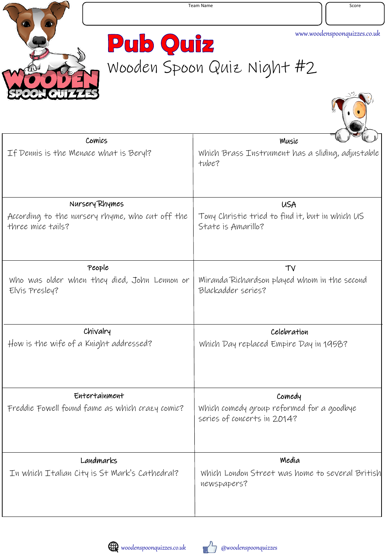

T.N

**Pub Quiz** Wooden Spoon Quiz Night #2

| Comics                                                               | Music                                                                    |
|----------------------------------------------------------------------|--------------------------------------------------------------------------|
| If Dennis is the Menace what is Beryl?                               | Which Brass Instrument has a sliding, adjustable<br>tube?                |
| Nursery Rhymes                                                       | <b>USA</b>                                                               |
| According to the nursery rhyme, who cut off the<br>three mice tails? | Tony Christie tried to find it, but in which US<br>State is Amarillo?    |
| People                                                               | TV                                                                       |
| Who was older when they died, John Lennon or<br>Elvis Presley?       | Miranda Richardson played whom in the second<br>Blackadder series?       |
| Chivalry                                                             | Celebration                                                              |
| How is the wife of a Knight addressed?                               | Which Day replaced Empire Day in 1958?                                   |
| Entertainment                                                        | Comedy                                                                   |
| Freddie Fowell found fame as which crazy comic?                      | Which comedy group reformed for a goodbye<br>series of concerts in 2014? |
| Landmarks                                                            | Media                                                                    |
| In which Italian City is St Mark's Cathedral?                        | Which London Street was home to several British<br>newspapers?           |